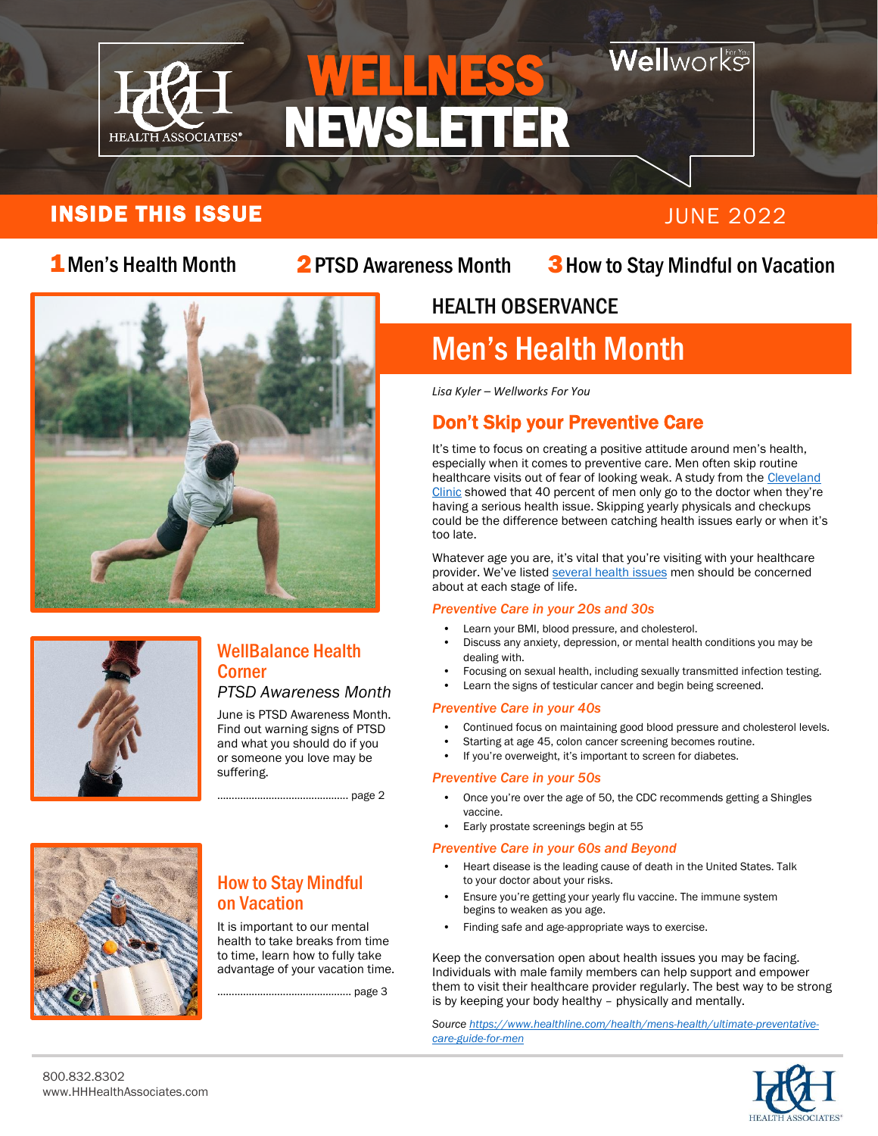

## $\overline{\phantom{0}}$  NEWSLETTER WELLNESS

## **Nell**works

### INSIDE THIS ISSUE And the state of the state of the state of the state of the state of the state of the state o

#### 2 PTSD Awareness Month

### 1 Men's Health Month 2 PTSD Awareness Month 3 How to Stay Mindful on Vacation





#### WellBalance Health **Corner**

#### *PTSD Awareness Month*

June is PTSD Awareness Month. Find out warning signs of PTSD and what you should do if you or someone you love may be suffering.

How to Stay Mindful

It is important to our mental health to take breaks from time to time, learn how to fully take advantage of your vacation time.

...................... page 3

on Vacation

………………………………………. page 2

## HEALTH OBSERVANCE

## Men's Health Month

*Lisa Kyler – Wellworks For You*

## Don't Skip your Preventive Care

It's time to focus on creating a positive attitude around men's health, especially when it comes to preventive care. Men often skip routine healthcare visits out of fear of looking weak. A study from the Cleveland [Clinic](https://newsroom.clevelandclinic.org/wp-content/uploads/sites/4/2018/08/Cleveland-Clinic-MENtion-It-Survey-Results-2018.pdf) showed that 40 percent of men only go to the doctor when they're having a serious health issue. Skipping yearly physicals and checkups could be the difference between catching health issues early or when it's too late.

Whatever age you are, it's vital that you're visiting with your healthcare provider. We've listed [several health issues](https://www.healthline.com/health/mens-health/ultimate-preventative-care-guide-for-men) men should be concerned about at each stage of life.

#### *Preventive Care in your 20s and 30s*

- Learn your BMI, blood pressure, and cholesterol.
- Discuss any anxiety, depression, or mental health conditions you may be dealing with.
- Focusing on sexual health, including sexually transmitted infection testing.
- Learn the signs of testicular cancer and begin being screened.

#### *Preventive Care in your 40s*

- Continued focus on maintaining good blood pressure and cholesterol levels.
- Starting at age 45, colon cancer screening becomes routine.
- If you're overweight, it's important to screen for diabetes.

#### *Preventive Care in your 50s*

- Once you're over the age of 50, the CDC recommends getting a Shingles vaccine.
- Early prostate screenings begin at 55

#### *Preventive Care in your 60s and Beyond*

- Heart disease is the leading cause of death in the United States. Talk to your doctor about your risks.
- Ensure you're getting your yearly flu vaccine. The immune system begins to weaken as you age.
- Finding safe and age-appropriate ways to exercise.

Keep the conversation open about health issues you may be facing. Individuals with male family members can help support and empower them to visit their healthcare provider regularly. The best way to be strong is by keeping your body healthy – physically and mentally.

*Sourc[e https://www.healthline.com/health/mens-health/ultimate-preventative](https://www.healthline.com/health/mens-health/ultimate-preventative-care-guide-for-men)[care-guide-for-men](https://www.healthline.com/health/mens-health/ultimate-preventative-care-guide-for-men)*



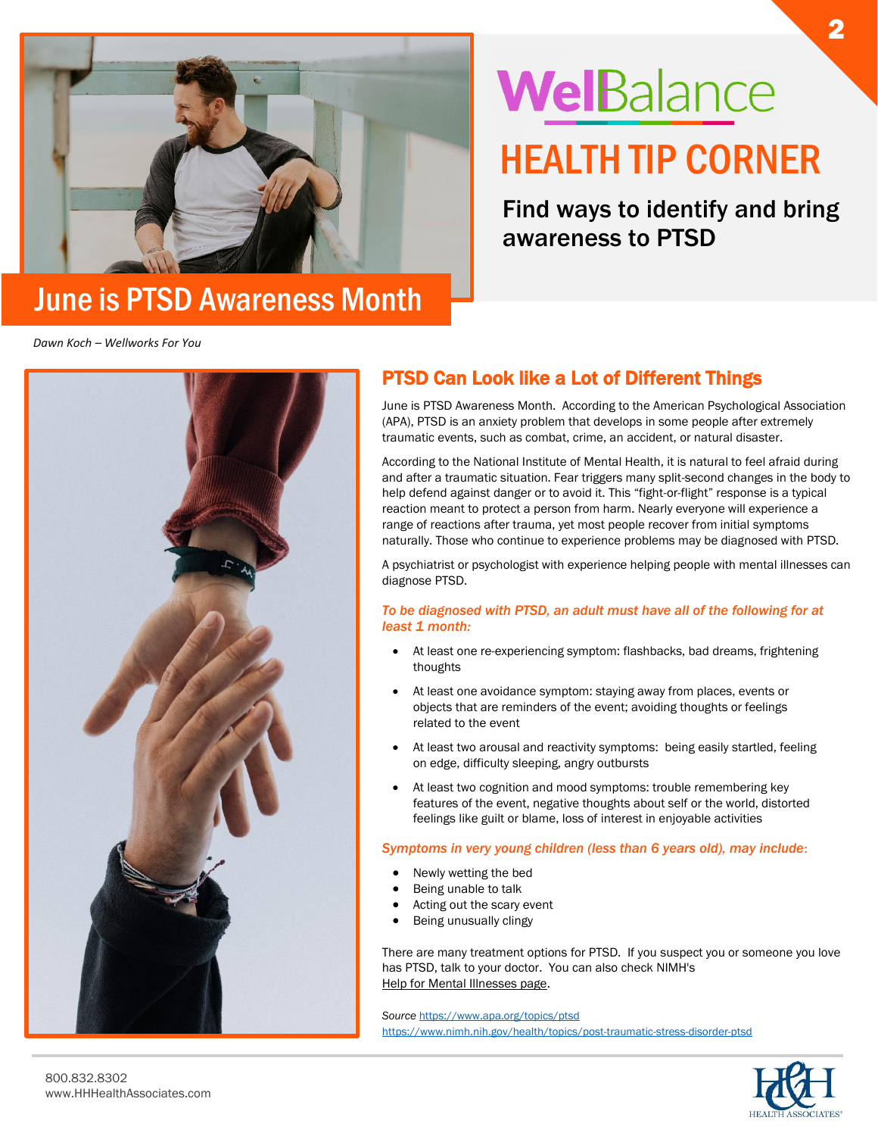

## June is PTSD Awareness Month

# WelBalance HEALTH TIP CORNER

Find ways to identify and bring awareness to PTSD

*Dawn Koch – Wellworks For You*



#### PTSD Can Look like a Lot of Different Things

June is PTSD Awareness Month. According to the American Psychological Association (APA), PTSD is an anxiety problem that develops in some people after extremely traumatic events, such as combat, crime, an accident, or natural disaster.

According to the National Institute of Mental Health, it is natural to feel afraid during and after a traumatic situation. Fear triggers many split-second changes in the body to help defend against danger or to avoid it. This "fight-or-flight" response is a typical reaction meant to protect a person from harm. Nearly everyone will experience a range of reactions after trauma, yet most people recover from initial symptoms naturally. Those who continue to experience problems may be diagnosed with PTSD.

A psychiatrist or psychologist with experience helping people with mental illnesses can diagnose PTSD.

#### *To be diagnosed with PTSD, an adult must have all of the following for at least 1 month:*

- At least one re-experiencing symptom: flashbacks, bad dreams, frightening thoughts
- At least one avoidance symptom: staying away from places, events or objects that are reminders of the event; avoiding thoughts or feelings related to the event
- At least two arousal and reactivity symptoms: being easily startled, feeling on edge, difficulty sleeping, angry outbursts
- At least two cognition and mood symptoms: trouble remembering key features of the event, negative thoughts about self or the world, distorted feelings like guilt or blame, loss of interest in enjoyable activities

#### *Symptoms in very young children (less than 6 years old), may include*:

- Newly wetting the bed
- Being unable to talk
- Acting out the scary event
- Being unusually clingy

There are many treatment options for PTSD. If you suspect you or someone you love has PTSD, talk to your doctor. You can also check NIMH's [Help for Mental Illnesses page.](https://www.nimh.nih.gov/health/find-help)

*Source* <https://www.apa.org/topics/ptsd> <https://www.nimh.nih.gov/health/topics/post-traumatic-stress-disorder-ptsd>

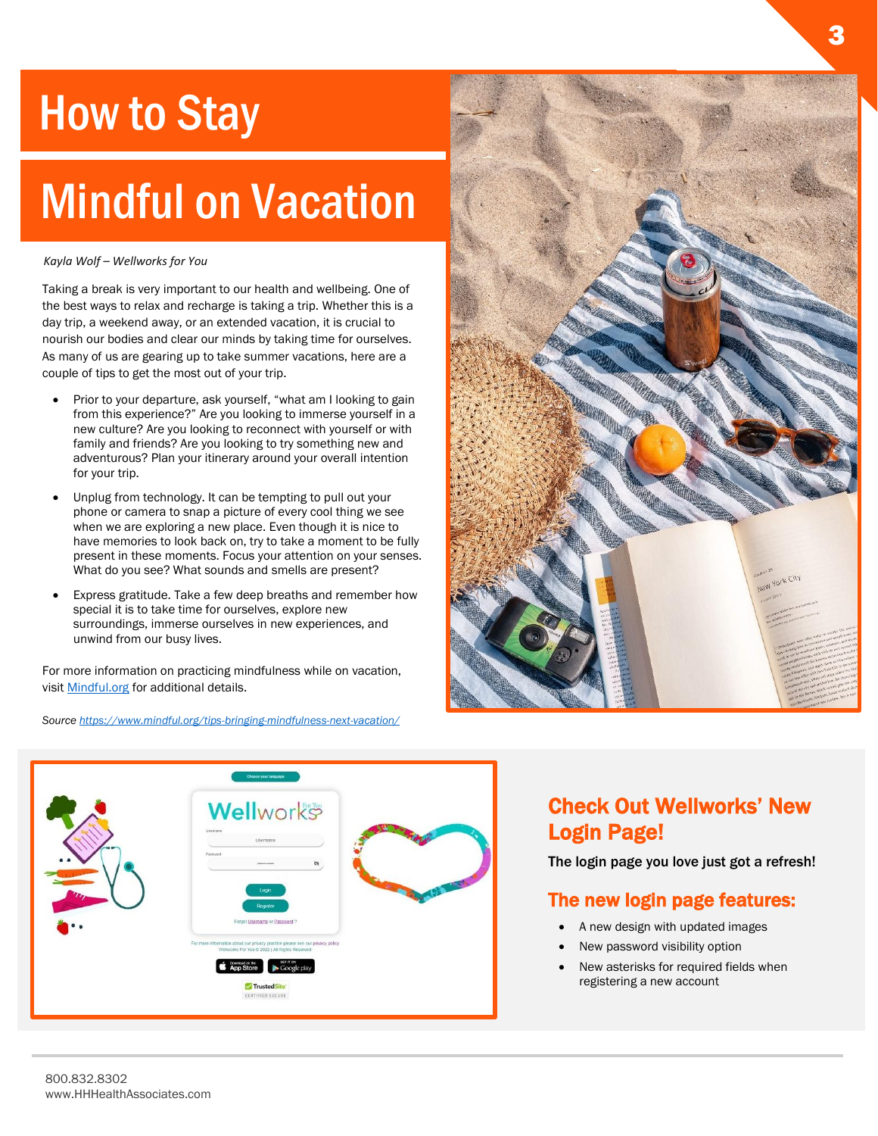## **How to Stay**

# Mindful on Vacation

#### *Kayla Wolf – Wellworks for You*

Taking a break is very important to our health and wellbeing. One of the best ways to relax and recharge is taking a trip. Whether this is a day trip, a weekend away, or an extended vacation, it is crucial to nourish our bodies and clear our minds by taking time for ourselves. As many of us are gearing up to take summer vacations, here are a couple of tips to get the most out of your trip.

- Prior to your departure, ask yourself, "what am I looking to gain from this experience?" Are you looking to immerse yourself in a new culture? Are you looking to reconnect with yourself or with family and friends? Are you looking to try something new and adventurous? Plan your itinerary around your overall intention for your trip.
- Unplug from technology. It can be tempting to pull out your phone or camera to snap a picture of every cool thing we see when we are exploring a new place. Even though it is nice to have memories to look back on, try to take a moment to be fully present in these moments. Focus your attention on your senses. What do you see? What sounds and smells are present?
- Express gratitude. Take a few deep breaths and remember how special it is to take time for ourselves, explore new surroundings, immerse ourselves in new experiences, and unwind from our busy lives.

For more information on practicing mindfulness while on vacation, visit [Mindful.org](https://www.mindful.org/tips-bringing-mindfulness-next-vacation/) for additional details.

*Sourc[e https://www.mindful.org/tips-bringing-mindfulness-next-vacation/](https://www.mindful.org/tips-bringing-mindfulness-next-vacation/)*





### Check Out Wellworks' New Login Page!

The login page you love just got a refresh!

#### The new login page features:

- A new design with updated images
- New password visibility option
- New asterisks for required fields when registering a new account